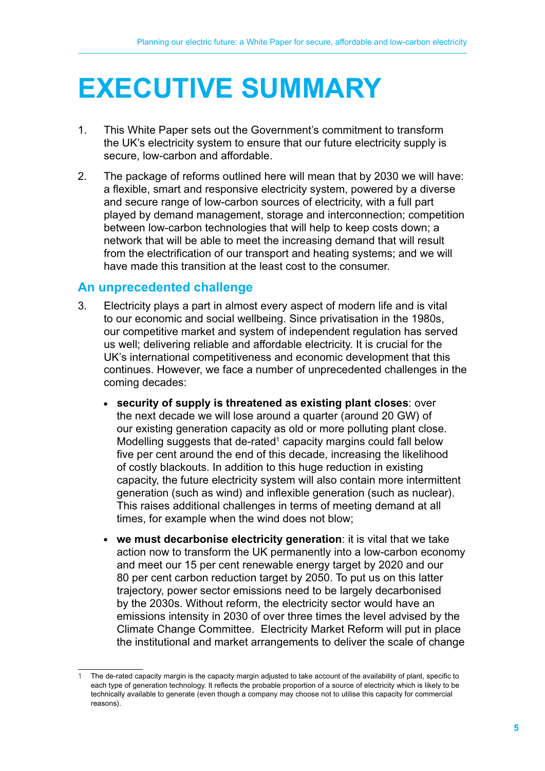# **EXECUTIVE SUMMARY**

- 1. This White Paper sets out the Government's commitment to transform the UK's electricity system to ensure that our future electricity supply is secure, low-carbon and affordable.
- 2. The package of reforms outlined here will mean that by 2030 we will have: a flexible, smart and responsive electricity system, powered by a diverse and secure range of low-carbon sources of electricity, with a full part played by demand management, storage and interconnection; competition between low-carbon technologies that will help to keep costs down; a network that will be able to meet the increasing demand that will result from the electrification of our transport and heating systems; and we will have made this transition at the least cost to the consumer.

# **An unprecedented challenge**

- 3. Electricity plays a part in almost every aspect of modern life and is vital to our economic and social wellbeing. Since privatisation in the 1980s, our competitive market and system of independent regulation has served us well; delivering reliable and affordable electricity. It is crucial for the UK's international competitiveness and economic development that this continues. However, we face a number of unprecedented challenges in the coming decades:
	- **security of supply is threatened as existing plant closes**: over the next decade we will lose around a quarter (around 20 GW) of our existing generation capacity as old or more polluting plant close. Modelling suggests that de-rated<sup>1</sup> capacity margins could fall below five per cent around the end of this decade, increasing the likelihood of costly blackouts. In addition to this huge reduction in existing capacity, the future electricity system will also contain more intermittent generation (such as wind) and inflexible generation (such as nuclear). This raises additional challenges in terms of meeting demand at all times, for example when the wind does not blow;
	- **we must decarbonise electricity generation**: it is vital that we take action now to transform the UK permanently into a low-carbon economy and meet our 15 per cent renewable energy target by 2020 and our 80 per cent carbon reduction target by 2050. To put us on this latter trajectory, power sector emissions need to be largely decarbonised by the 2030s. Without reform, the electricity sector would have an emissions intensity in 2030 of over three times the level advised by the Climate Change Committee. Electricity Market Reform will put in place the institutional and market arrangements to deliver the scale of change

The de-rated capacity margin is the capacity margin adjusted to take account of the availability of plant, specific to each type of generation technology. It reflects the probable proportion of a source of electricity which is likely to be technically available to generate (even though a company may choose not to utilise this capacity for commercial reasons).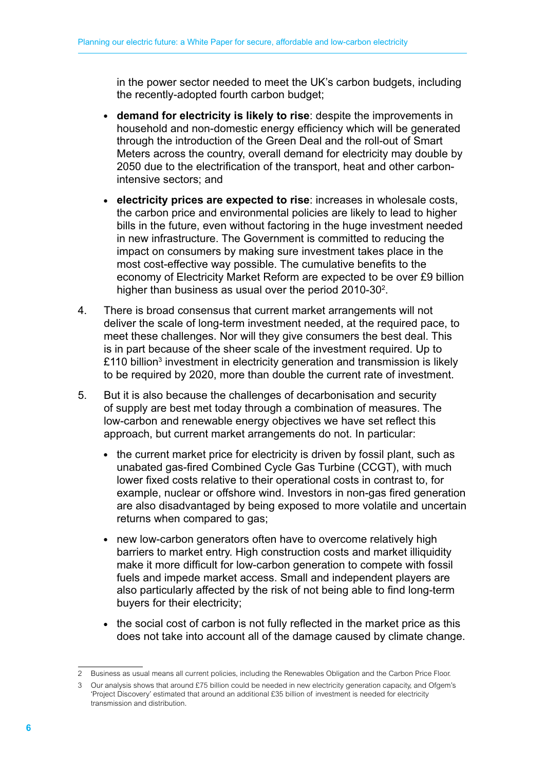in the power sector needed to meet the UK's carbon budgets, including the recently-adopted fourth carbon budget;

- **demand for electricity is likely to rise**: despite the improvements in household and non-domestic energy efficiency which will be generated through the introduction of the Green Deal and the roll-out of Smart Meters across the country, overall demand for electricity may double by 2050 due to the electrification of the transport, heat and other carbonintensive sectors; and
- **electricity prices are expected to rise**: increases in wholesale costs, the carbon price and environmental policies are likely to lead to higher bills in the future, even without factoring in the huge investment needed in new infrastructure. The Government is committed to reducing the impact on consumers by making sure investment takes place in the most cost-effective way possible. The cumulative benefits to the economy of Electricity Market Reform are expected to be over £9 billion higher than business as usual over the period 2010-30<sup>2</sup>.
- 4. There is broad consensus that current market arrangements will not deliver the scale of long-term investment needed, at the required pace, to meet these challenges. Nor will they give consumers the best deal. This is in part because of the sheer scale of the investment required. Up to £110 billion<sup>3</sup> investment in electricity generation and transmission is likely to be required by 2020, more than double the current rate of investment.
- 5. But it is also because the challenges of decarbonisation and security of supply are best met today through a combination of measures. The low-carbon and renewable energy objectives we have set reflect this approach, but current market arrangements do not. In particular:
	- the current market price for electricity is driven by fossil plant, such as unabated gas-fired Combined Cycle Gas Turbine (CCGT), with much lower fixed costs relative to their operational costs in contrast to, for example, nuclear or offshore wind. Investors in non-gas fired generation are also disadvantaged by being exposed to more volatile and uncertain returns when compared to gas;
	- new low-carbon generators often have to overcome relatively high barriers to market entry. High construction costs and market illiquidity make it more difficult for low-carbon generation to compete with fossil fuels and impede market access. Small and independent players are also particularly affected by the risk of not being able to find long-term buyers for their electricity;
	- the social cost of carbon is not fully reflected in the market price as this does not take into account all of the damage caused by climate change.

<sup>2</sup> Business as usual means all current policies, including the Renewables Obligation and the Carbon Price Floor.

<sup>3</sup> Our analysis shows that around £75 billion could be needed in new electricity generation capacity, and Ofgem's 'Project Discovery' estimated that around an additional £35 billion of investment is needed for electricity transmission and distribution.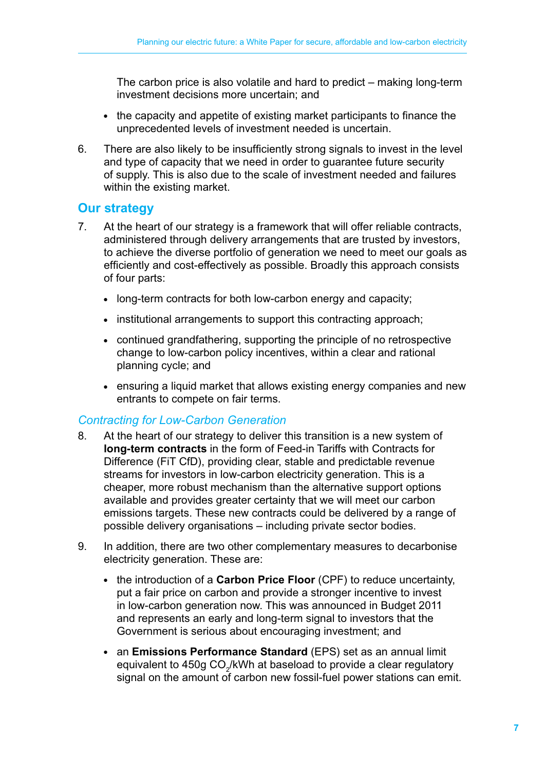The carbon price is also volatile and hard to predict – making long-term investment decisions more uncertain; and

- the capacity and appetite of existing market participants to finance the unprecedented levels of investment needed is uncertain.
- 6. There are also likely to be insufficiently strong signals to invest in the level and type of capacity that we need in order to guarantee future security of supply. This is also due to the scale of investment needed and failures within the existing market.

# **Our strategy**

- 7. At the heart of our strategy is a framework that will offer reliable contracts, administered through delivery arrangements that are trusted by investors, to achieve the diverse portfolio of generation we need to meet our goals as efficiently and cost-effectively as possible. Broadly this approach consists of four parts:
	- long-term contracts for both low-carbon energy and capacity;
	- institutional arrangements to support this contracting approach;
	- continued grandfathering, supporting the principle of no retrospective change to low-carbon policy incentives, within a clear and rational planning cycle; and
	- ensuring a liquid market that allows existing energy companies and new entrants to compete on fair terms.

# *Contracting for Low-Carbon Generation*

- 8. At the heart of our strategy to deliver this transition is a new system of **long-term contracts** in the form of Feed-in Tariffs with Contracts for Difference (FiT CfD), providing clear, stable and predictable revenue streams for investors in low-carbon electricity generation. This is a cheaper, more robust mechanism than the alternative support options available and provides greater certainty that we will meet our carbon emissions targets. These new contracts could be delivered by a range of possible delivery organisations – including private sector bodies.
- 9. In addition, there are two other complementary measures to decarbonise electricity generation. These are:
	- the introduction of a **Carbon Price Floor** (CPF) to reduce uncertainty, put a fair price on carbon and provide a stronger incentive to invest in low-carbon generation now. This was announced in Budget 2011 and represents an early and long-term signal to investors that the Government is serious about encouraging investment; and
	- an **Emissions Performance Standard** (EPS) set as an annual limit equivalent to 450g CO $_2^{\prime}$ kWh at baseload to provide a clear regulatory signal on the amount of carbon new fossil-fuel power stations can emit.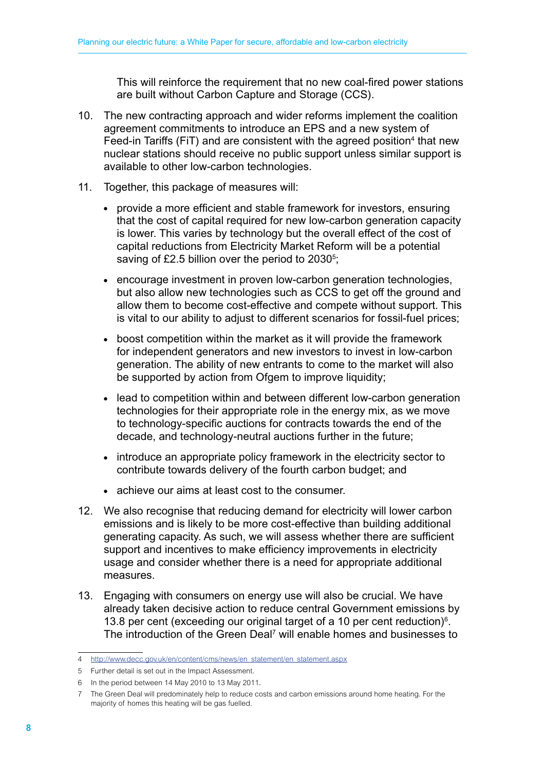This will reinforce the requirement that no new coal-fired power stations are built without Carbon Capture and Storage (CCS).

- 10. The new contracting approach and wider reforms implement the coalition agreement commitments to introduce an EPS and a new system of Feed-in Tariffs (FiT) and are consistent with the agreed position<sup>4</sup> that new nuclear stations should receive no public support unless similar support is available to other low-carbon technologies.
- 11. Together, this package of measures will:
	- provide a more efficient and stable framework for investors, ensuring that the cost of capital required for new low-carbon generation capacity is lower. This varies by technology but the overall effect of the cost of capital reductions from Electricity Market Reform will be a potential saving of £2.5 billion over the period to 2030<sup>5</sup>;
	- encourage investment in proven low-carbon generation technologies, but also allow new technologies such as CCS to get off the ground and allow them to become cost-effective and compete without support. This is vital to our ability to adjust to different scenarios for fossil-fuel prices;
	- boost competition within the market as it will provide the framework for independent generators and new investors to invest in low-carbon generation. The ability of new entrants to come to the market will also be supported by action from Ofgem to improve liquidity:
	- lead to competition within and between different low-carbon generation technologies for their appropriate role in the energy mix, as we move to technology-specific auctions for contracts towards the end of the decade, and technology-neutral auctions further in the future;
	- introduce an appropriate policy framework in the electricity sector to contribute towards delivery of the fourth carbon budget; and
	- achieve our aims at least cost to the consumer.
- 12. We also recognise that reducing demand for electricity will lower carbon emissions and is likely to be more cost-effective than building additional generating capacity. As such, we will assess whether there are sufficient support and incentives to make efficiency improvements in electricity usage and consider whether there is a need for appropriate additional measures.
- 13. Engaging with consumers on energy use will also be crucial. We have already taken decisive action to reduce central Government emissions by 13.8 per cent (exceeding our original target of a 10 per cent reduction) $6$ . The introduction of the Green Deal<sup>7</sup> will enable homes and businesses to

<sup>4</sup> [http://www.decc.gov.uk/en/content/cms/news/en\\_statement/en\\_statement.aspx](http://www.decc.gov.uk/en/content/cms/news/en_statement/en_statement.aspx)

<sup>5</sup> Further detail is set out in the Impact Assessment.

<sup>6</sup> In the period between 14 May 2010 to 13 May 2011.

<sup>7</sup> The Green Deal will predominately help to reduce costs and carbon emissions around home heating. For the majority of homes this heating will be gas fuelled.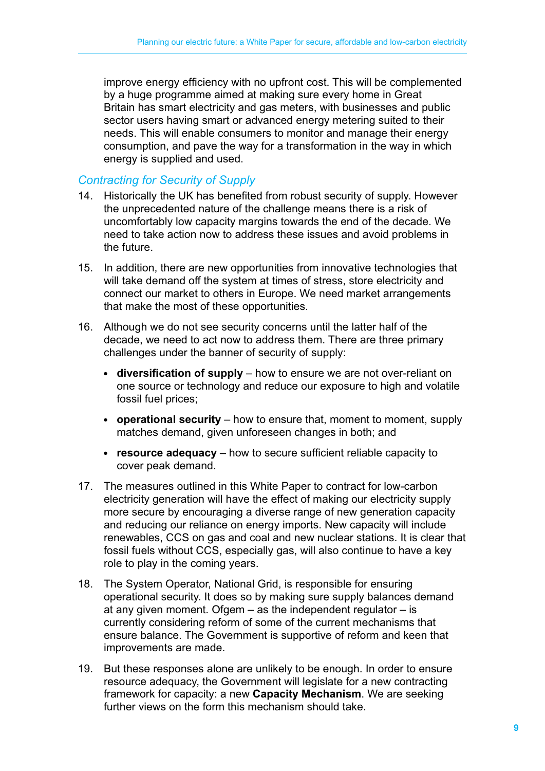improve energy efficiency with no upfront cost. This will be complemented by a huge programme aimed at making sure every home in Great Britain has smart electricity and gas meters, with businesses and public sector users having smart or advanced energy metering suited to their needs. This will enable consumers to monitor and manage their energy consumption, and pave the way for a transformation in the way in which energy is supplied and used.

#### *Contracting for Security of Supply*

- 14. Historically the UK has benefited from robust security of supply. However the unprecedented nature of the challenge means there is a risk of uncomfortably low capacity margins towards the end of the decade. We need to take action now to address these issues and avoid problems in the future.
- 15. In addition, there are new opportunities from innovative technologies that will take demand off the system at times of stress, store electricity and connect our market to others in Europe. We need market arrangements that make the most of these opportunities.
- 16. Although we do not see security concerns until the latter half of the decade, we need to act now to address them. There are three primary challenges under the banner of security of supply:
	- diversification of supply how to ensure we are not over-reliant on one source or technology and reduce our exposure to high and volatile fossil fuel prices;
	- **operational security** how to ensure that, moment to moment, supply matches demand, given unforeseen changes in both; and
	- **resource adequacy** how to secure sufficient reliable capacity to cover peak demand.
- 17. The measures outlined in this White Paper to contract for low-carbon electricity generation will have the effect of making our electricity supply more secure by encouraging a diverse range of new generation capacity and reducing our reliance on energy imports. New capacity will include renewables, CCS on gas and coal and new nuclear stations. It is clear that fossil fuels without CCS, especially gas, will also continue to have a key role to play in the coming years.
- 18. The System Operator, National Grid, is responsible for ensuring operational security. It does so by making sure supply balances demand at any given moment. Ofgem – as the independent regulator – is currently considering reform of some of the current mechanisms that ensure balance. The Government is supportive of reform and keen that improvements are made.
- 19. But these responses alone are unlikely to be enough. In order to ensure resource adequacy, the Government will legislate for a new contracting framework for capacity: a new **Capacity Mechanism**. We are seeking further views on the form this mechanism should take.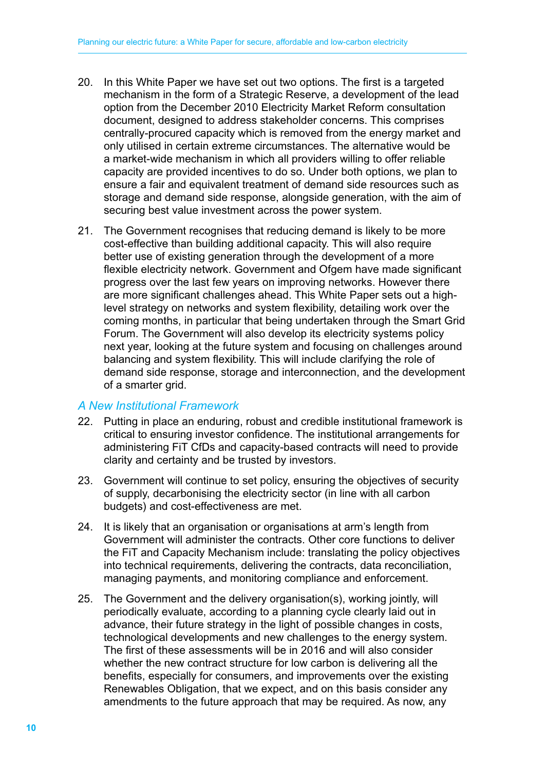- 20. In this White Paper we have set out two options. The first is a targeted mechanism in the form of a Strategic Reserve, a development of the lead option from the December 2010 Electricity Market Reform consultation document, designed to address stakeholder concerns. This comprises centrally-procured capacity which is removed from the energy market and only utilised in certain extreme circumstances. The alternative would be a market-wide mechanism in which all providers willing to offer reliable capacity are provided incentives to do so. Under both options, we plan to ensure a fair and equivalent treatment of demand side resources such as storage and demand side response, alongside generation, with the aim of securing best value investment across the power system.
- 21. The Government recognises that reducing demand is likely to be more cost-effective than building additional capacity. This will also require better use of existing generation through the development of a more flexible electricity network. Government and Ofgem have made significant progress over the last few years on improving networks. However there are more significant challenges ahead. This White Paper sets out a highlevel strategy on networks and system flexibility, detailing work over the coming months, in particular that being undertaken through the Smart Grid Forum. The Government will also develop its electricity systems policy next year, looking at the future system and focusing on challenges around balancing and system flexibility. This will include clarifying the role of demand side response, storage and interconnection, and the development of a smarter grid.

#### *A New Institutional Framework*

- 22. Putting in place an enduring, robust and credible institutional framework is critical to ensuring investor confidence. The institutional arrangements for administering FiT CfDs and capacity-based contracts will need to provide clarity and certainty and be trusted by investors.
- 23. Government will continue to set policy, ensuring the objectives of security of supply, decarbonising the electricity sector (in line with all carbon budgets) and cost-effectiveness are met.
- 24. It is likely that an organisation or organisations at arm's length from Government will administer the contracts. Other core functions to deliver the FiT and Capacity Mechanism include: translating the policy objectives into technical requirements, delivering the contracts, data reconciliation, managing payments, and monitoring compliance and enforcement.
- 25. The Government and the delivery organisation(s), working jointly, will periodically evaluate, according to a planning cycle clearly laid out in advance, their future strategy in the light of possible changes in costs, technological developments and new challenges to the energy system. The first of these assessments will be in 2016 and will also consider whether the new contract structure for low carbon is delivering all the benefits, especially for consumers, and improvements over the existing Renewables Obligation, that we expect, and on this basis consider any amendments to the future approach that may be required. As now, any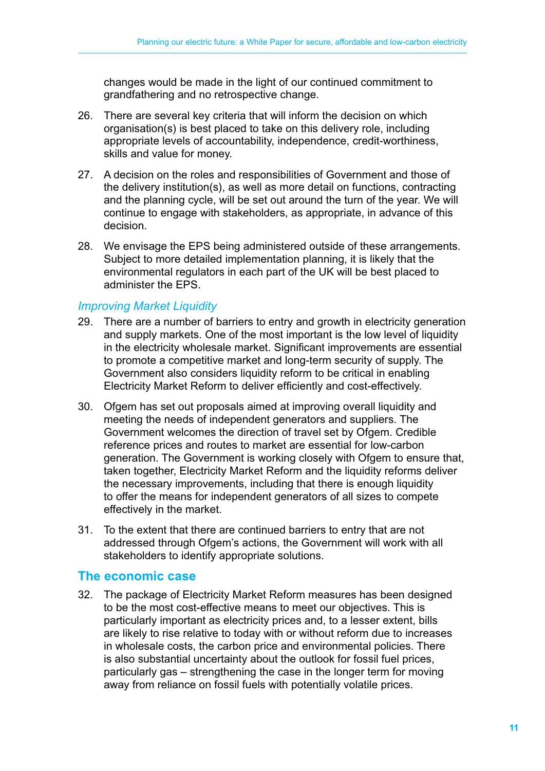changes would be made in the light of our continued commitment to grandfathering and no retrospective change.

- 26. There are several key criteria that will inform the decision on which organisation(s) is best placed to take on this delivery role, including appropriate levels of accountability, independence, credit-worthiness, skills and value for money.
- 27. A decision on the roles and responsibilities of Government and those of the delivery institution(s), as well as more detail on functions, contracting and the planning cycle, will be set out around the turn of the year. We will continue to engage with stakeholders, as appropriate, in advance of this decision.
- 28. We envisage the EPS being administered outside of these arrangements. Subject to more detailed implementation planning, it is likely that the environmental regulators in each part of the UK will be best placed to administer the EPS.

#### *Improving Market Liquidity*

- 29. There are a number of barriers to entry and growth in electricity generation and supply markets. One of the most important is the low level of liquidity in the electricity wholesale market. Significant improvements are essential to promote a competitive market and long-term security of supply. The Government also considers liquidity reform to be critical in enabling Electricity Market Reform to deliver efficiently and cost-effectively.
- 30. Ofgem has set out proposals aimed at improving overall liquidity and meeting the needs of independent generators and suppliers. The Government welcomes the direction of travel set by Ofgem. Credible reference prices and routes to market are essential for low-carbon generation. The Government is working closely with Ofgem to ensure that, taken together, Electricity Market Reform and the liquidity reforms deliver the necessary improvements, including that there is enough liquidity to offer the means for independent generators of all sizes to compete effectively in the market.
- 31. To the extent that there are continued barriers to entry that are not addressed through Ofgem's actions, the Government will work with all stakeholders to identify appropriate solutions.

# **The economic case**

32. The package of Electricity Market Reform measures has been designed to be the most cost-effective means to meet our objectives. This is particularly important as electricity prices and, to a lesser extent, bills are likely to rise relative to today with or without reform due to increases in wholesale costs, the carbon price and environmental policies. There is also substantial uncertainty about the outlook for fossil fuel prices, particularly gas – strengthening the case in the longer term for moving away from reliance on fossil fuels with potentially volatile prices.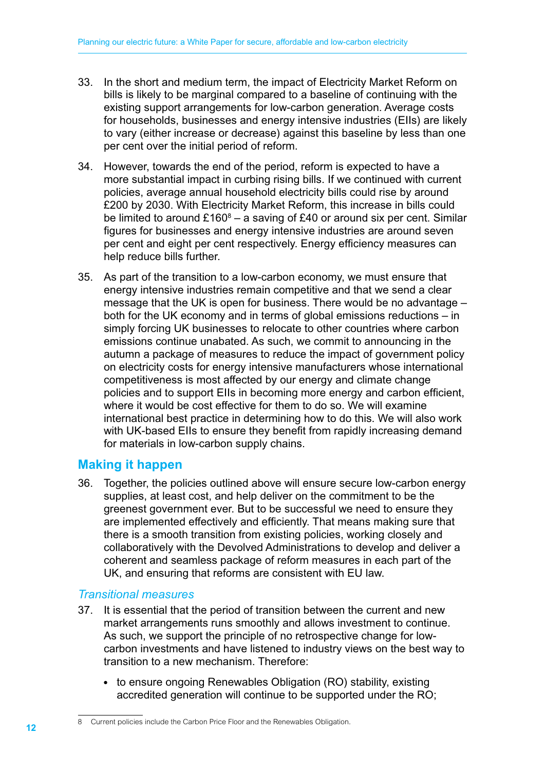- 33. In the short and medium term, the impact of Electricity Market Reform on bills is likely to be marginal compared to a baseline of continuing with the existing support arrangements for low-carbon generation. Average costs for households, businesses and energy intensive industries (EIIs) are likely to vary (either increase or decrease) against this baseline by less than one per cent over the initial period of reform.
- 34. However, towards the end of the period, reform is expected to have a more substantial impact in curbing rising bills. If we continued with current policies, average annual household electricity bills could rise by around £200 by 2030. With Electricity Market Reform, this increase in bills could be limited to around  $£160^8 - a$  saving of £40 or around six per cent. Similar figures for businesses and energy intensive industries are around seven per cent and eight per cent respectively. Energy efficiency measures can help reduce bills further.
- 35. As part of the transition to a low-carbon economy, we must ensure that energy intensive industries remain competitive and that we send a clear message that the UK is open for business. There would be no advantage – both for the UK economy and in terms of global emissions reductions – in simply forcing UK businesses to relocate to other countries where carbon emissions continue unabated. As such, we commit to announcing in the autumn a package of measures to reduce the impact of government policy on electricity costs for energy intensive manufacturers whose international competitiveness is most affected by our energy and climate change policies and to support EIIs in becoming more energy and carbon efficient, where it would be cost effective for them to do so. We will examine international best practice in determining how to do this. We will also work with UK-based EIIs to ensure they benefit from rapidly increasing demand for materials in low-carbon supply chains.

# **Making it happen**

36. Together, the policies outlined above will ensure secure low-carbon energy supplies, at least cost, and help deliver on the commitment to be the greenest government ever. But to be successful we need to ensure they are implemented effectively and efficiently. That means making sure that there is a smooth transition from existing policies, working closely and collaboratively with the Devolved Administrations to develop and deliver a coherent and seamless package of reform measures in each part of the UK, and ensuring that reforms are consistent with EU law.

# *Transitional measures*

- 37. It is essential that the period of transition between the current and new market arrangements runs smoothly and allows investment to continue. As such, we support the principle of no retrospective change for lowcarbon investments and have listened to industry views on the best way to transition to a new mechanism. Therefore:
	- to ensure ongoing Renewables Obligation (RO) stability, existing accredited generation will continue to be supported under the RO;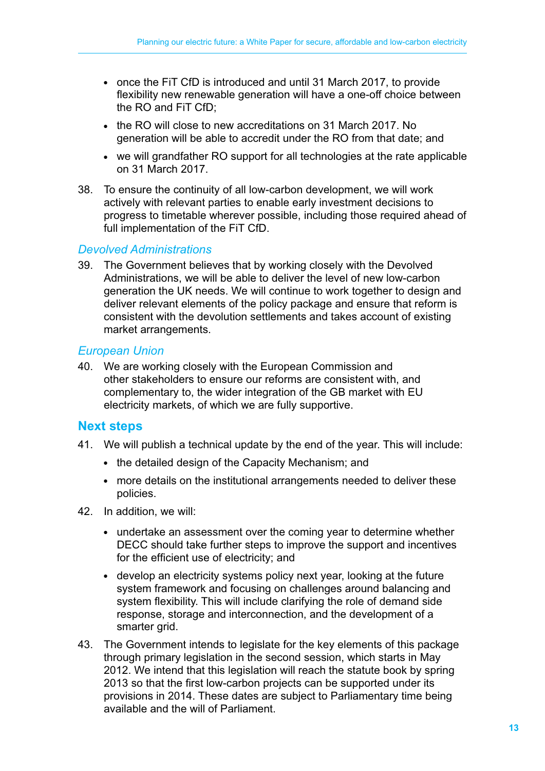- once the FiT CfD is introduced and until 31 March 2017, to provide flexibility new renewable generation will have a one-off choice between the RO and FiT CfD;
- the RO will close to new accreditations on 31 March 2017. No generation will be able to accredit under the RO from that date; and
- we will grandfather RO support for all technologies at the rate applicable on 31 March 2017.
- 38. To ensure the continuity of all low-carbon development, we will work actively with relevant parties to enable early investment decisions to progress to timetable wherever possible, including those required ahead of full implementation of the FiT CfD.

#### *Devolved Administrations*

39. The Government believes that by working closely with the Devolved Administrations, we will be able to deliver the level of new low-carbon generation the UK needs. We will continue to work together to design and deliver relevant elements of the policy package and ensure that reform is consistent with the devolution settlements and takes account of existing market arrangements.

#### *European Union*

40. We are working closely with the European Commission and other stakeholders to ensure our reforms are consistent with, and complementary to, the wider integration of the GB market with EU electricity markets, of which we are fully supportive.

#### **Next steps**

- 41. We will publish a technical update by the end of the year. This will include:
	- the detailed design of the Capacity Mechanism; and
	- more details on the institutional arrangements needed to deliver these policies.
- 42. In addition, we will:
	- undertake an assessment over the coming year to determine whether DECC should take further steps to improve the support and incentives for the efficient use of electricity; and
	- develop an electricity systems policy next year, looking at the future system framework and focusing on challenges around balancing and system flexibility. This will include clarifying the role of demand side response, storage and interconnection, and the development of a smarter grid.
- 43. The Government intends to legislate for the key elements of this package through primary legislation in the second session, which starts in May 2012. We intend that this legislation will reach the statute book by spring 2013 so that the first low-carbon projects can be supported under its provisions in 2014. These dates are subject to Parliamentary time being available and the will of Parliament.